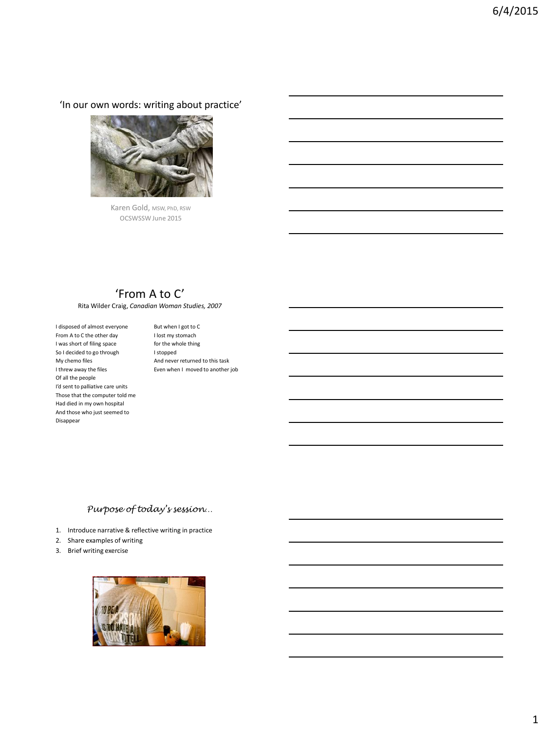'In our own words: writing about practice'



Karen Gold, MSW, PhD, RSW OCSWSSW June 2015

## 'From A to C'

Rita Wilder Craig, *Canadian Woman Studies, 2007*

I disposed of almost everyone From A to C the other day I was short of filing space So I decided to go through My chemo files I threw away the files Of all the people I'd sent to palliative care units Those that the computer told me Had died in my own hospital And those who just seemed to Disappear

But when I got to C I lost my stomach for the whole thing I stopped And never returned to this task Even when I moved to another job

### *Purpose of today's session…*

- 1. Introduce narrative & reflective writing in practice
- 2. Share examples of writing
- 3. Brief writing exercise

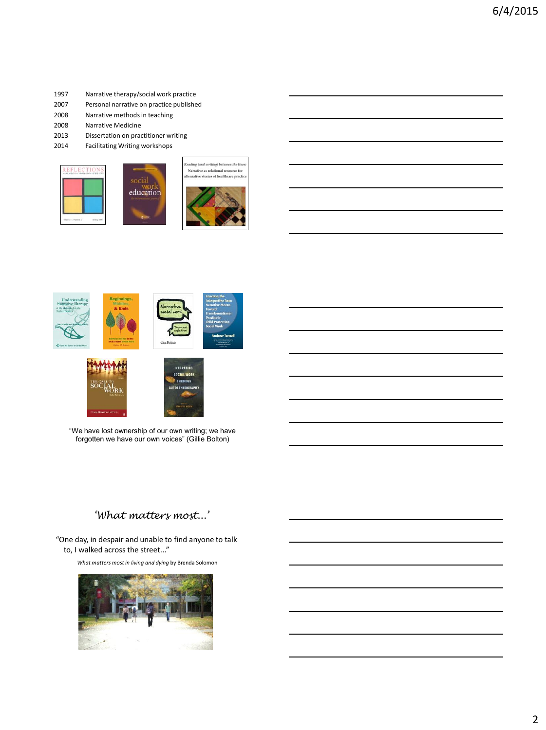#### 1997 Narrative therapy/social work practice

- 2007 Personal narrative on practice published
- 2008 Narrative methods in teaching
- 2008 Narrative Medicine
- 2013 Dissertation on practitioner writing
- 2014 Facilitating Writing workshops











## *'What matters most...'*

"One day, in despair and unable to find anyone to talk to, I walked across the street..."

*What matters most in living and dying* by Brenda Solomon

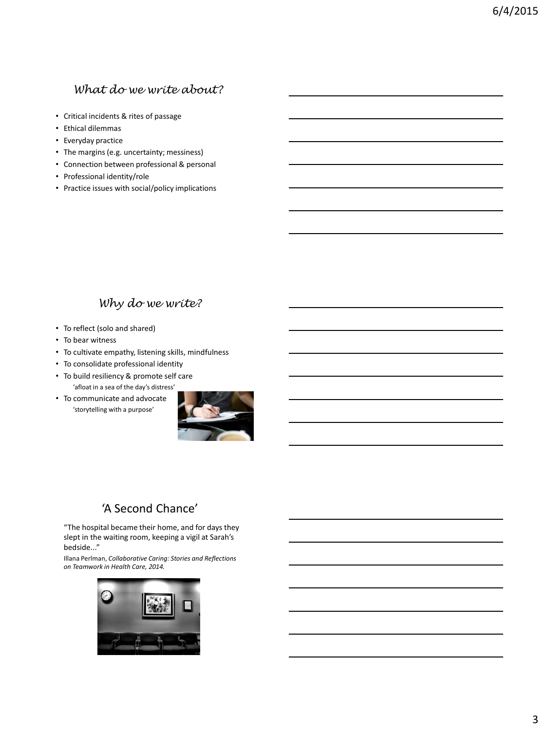## *What do we write about?*

- Critical incidents & rites of passage
- Ethical dilemmas
- Everyday practice
- The margins (e.g. uncertainty; messiness)
- Connection between professional & personal
- Professional identity/role
- Practice issues with social/policy implications

## *Why do we write?*

- To reflect (solo and shared)
- To bear witness
- To cultivate empathy, listening skills, mindfulness
- To consolidate professional identity
- To build resiliency & promote self care 'afloat in a sea of the day's distress'
- To communicate and advocate 'storytelling with a purpose'



# 'A Second Chance'

"The hospital became their home, and for days they slept in the waiting room, keeping a vigil at Sarah's bedside..."

Illana Perlman, *Collaborative Caring: Stories and Reflections on Teamwork in Health Care, 2014.*

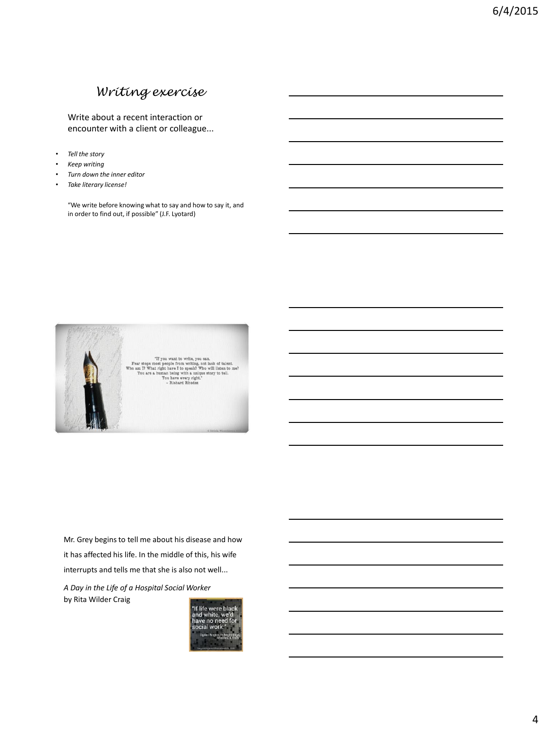# *Writing exercise*

Write about a recent interaction or encounter with a client or colleague...

- *Tell the story*
- *Keep writing*
- *Turn down the inner editor*
- *Take literary license!*

"We write before knowing what to say and how to say it, and in order to find out, if possible" (J.F. Lyotard)



Mr. Grey begins to tell me about his disease and how it has affected his life. In the middle of this, his wife interrupts and tells me that she is also not well...

*A Day in the Life of a Hospital Social Worker*  by Rita Wilder Craig